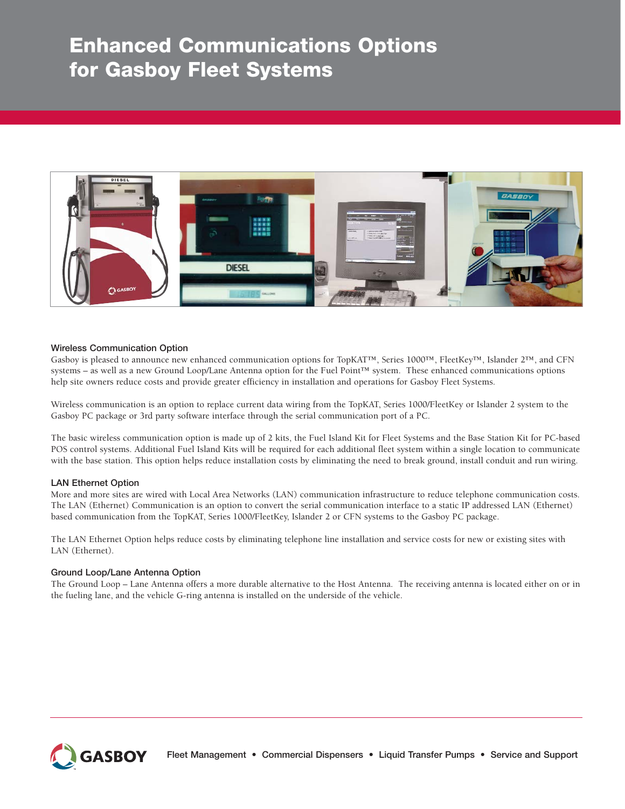# **Enhanced Communications Options for Gasboy Fleet Systems**



# **Wireless Communication Option**

Gasboy is pleased to announce new enhanced communication options for TopKAT™, Series 1000™, FleetKey™, Islander 2™, and CFN systems – as well as a new Ground Loop/Lane Antenna option for the Fuel Point™ system. These enhanced communications options help site owners reduce costs and provide greater efficiency in installation and operations for Gasboy Fleet Systems.

Wireless communication is an option to replace current data wiring from the TopKAT, Series 1000/FleetKey or Islander 2 system to the Gasboy PC package or 3rd party software interface through the serial communication port of a PC.

The basic wireless communication option is made up of 2 kits, the Fuel Island Kit for Fleet Systems and the Base Station Kit for PC-based POS control systems. Additional Fuel Island Kits will be required for each additional fleet system within a single location to communicate with the base station. This option helps reduce installation costs by eliminating the need to break ground, install conduit and run wiring.

# **LAN Ethernet Option**

More and more sites are wired with Local Area Networks (LAN) communication infrastructure to reduce telephone communication costs. The LAN (Ethernet) Communication is an option to convert the serial communication interface to a static IP addressed LAN (Ethernet) based communication from the TopKAT, Series 1000/FleetKey, Islander 2 or CFN systems to the Gasboy PC package.

The LAN Ethernet Option helps reduce costs by eliminating telephone line installation and service costs for new or existing sites with LAN (Ethernet).

# **Ground Loop/Lane Antenna Option**

The Ground Loop – Lane Antenna offers a more durable alternative to the Host Antenna. The receiving antenna is located either on or in the fueling lane, and the vehicle G-ring antenna is installed on the underside of the vehicle.